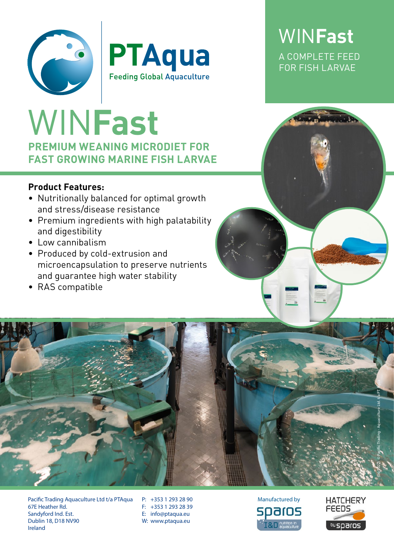



## **PREMIUM WEANING MICRODIET FOR FAST GROWING MARINE FISH LARVAE** WIN**Fast**

### **Product Features:**

- Nutritionally balanced for optimal growth and stress/disease resistance
- Premium ingredients with high palatability and digestibility
- Low cannibalism
- Produced by cold-extrusion and microencapsulation to preserve nutrients and guarantee high water stability
- RAS compatible



Pacific Trading Aquaculture Ltd t/a PTAqua 67E Heather Rd. Sandyford Ind. Est. Dublin 18, D18 NV90 Ireland

P: +353 1 293 28 90 F: +353 1 293 28 39 E: info@ptaqua.eu W: www.ptaqua.eu





WIN**Fast** A COMPLETE FEED FOR FISH LARVAE